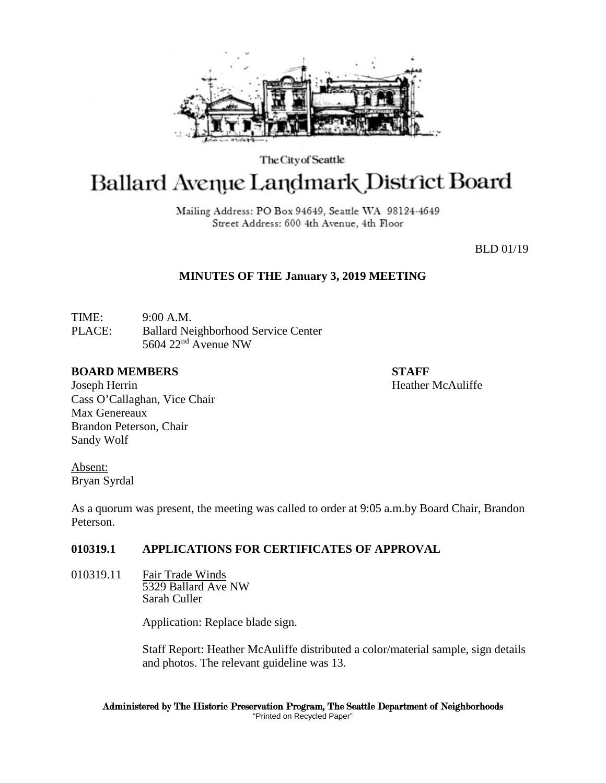

The City of Seattle

# Ballard Avenue Landmark District Board

Mailing Address: PO Box 94649, Seattle WA 98124-4649 Street Address: 600 4th Avenue, 4th Floor

BLD 01/19

## **MINUTES OF THE January 3, 2019 MEETING**

TIME: 9:00 A.M. PLACE: Ballard Neighborhood Service Center 5604 22nd Avenue NW

### **BOARD MEMBERS STAFF**

Joseph Herrin **Heather McAuliffe Heather McAuliffe** Cass O'Callaghan, Vice Chair Max Genereaux Brandon Peterson, Chair Sandy Wolf

Absent: Bryan Syrdal

As a quorum was present, the meeting was called to order at 9:05 a.m.by Board Chair, Brandon Peterson.

## **010319.1 APPLICATIONS FOR CERTIFICATES OF APPROVAL**

010319.11 Fair Trade Winds 5329 Ballard Ave NW Sarah Culler

Application: Replace blade sign.

Staff Report: Heather McAuliffe distributed a color/material sample, sign details and photos. The relevant guideline was 13.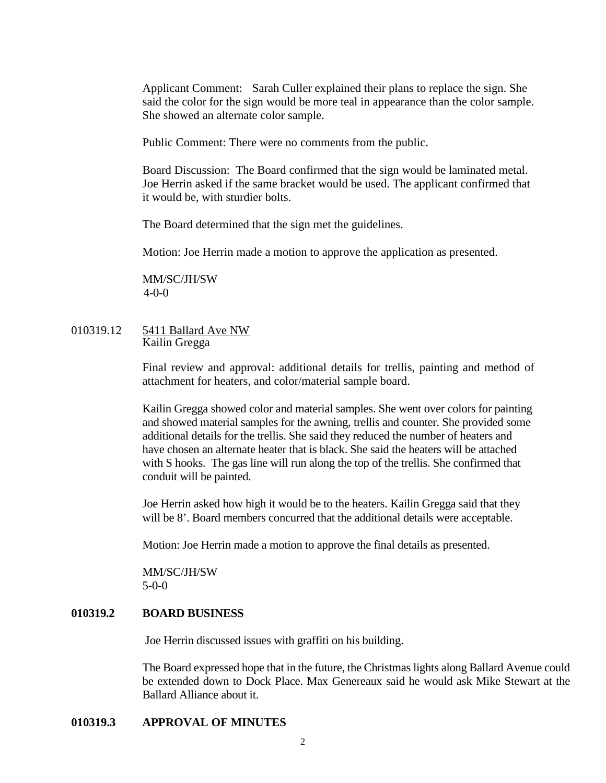Applicant Comment: Sarah Culler explained their plans to replace the sign. She said the color for the sign would be more teal in appearance than the color sample. She showed an alternate color sample.

Public Comment: There were no comments from the public.

Board Discussion: The Board confirmed that the sign would be laminated metal. Joe Herrin asked if the same bracket would be used. The applicant confirmed that it would be, with sturdier bolts.

The Board determined that the sign met the guidelines.

Motion: Joe Herrin made a motion to approve the application as presented.

MM/SC/JH/SW 4-0-0

#### 010319.12 5411 Ballard Ave NW Kailin Gregga

Final review and approval: additional details for trellis, painting and method of attachment for heaters, and color/material sample board.

Kailin Gregga showed color and material samples. She went over colors for painting and showed material samples for the awning, trellis and counter. She provided some additional details for the trellis. She said they reduced the number of heaters and have chosen an alternate heater that is black. She said the heaters will be attached with S hooks. The gas line will run along the top of the trellis. She confirmed that conduit will be painted.

Joe Herrin asked how high it would be to the heaters. Kailin Gregga said that they will be  $8'$ . Board members concurred that the additional details were acceptable.

Motion: Joe Herrin made a motion to approve the final details as presented.

MM/SC/JH/SW 5-0-0

#### **010319.2 BOARD BUSINESS**

Joe Herrin discussed issues with graffiti on his building.

The Board expressed hope that in the future, the Christmas lights along Ballard Avenue could be extended down to Dock Place. Max Genereaux said he would ask Mike Stewart at the Ballard Alliance about it.

#### **010319.3 APPROVAL OF MINUTES**